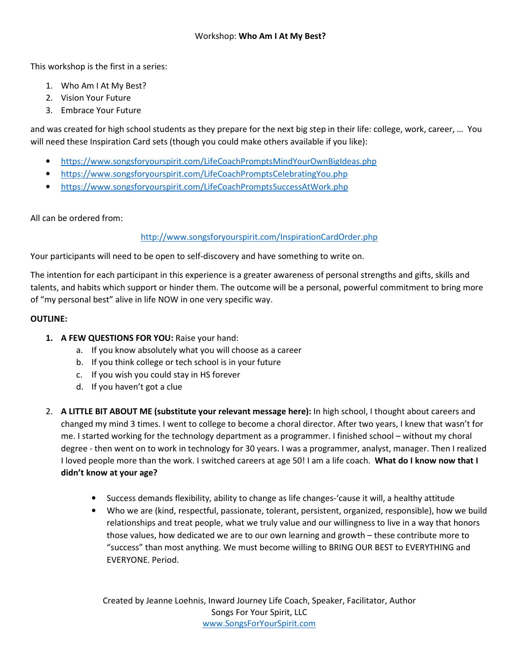This workshop is the first in a series:

- 1. Who Am I At My Best?
- 2. Vision Your Future
- 3. Embrace Your Future

and was created for high school students as they prepare for the next big step in their life: college, work, career, … You will need these Inspiration Card sets (though you could make others available if you like):

- https://www.songsforyourspirit.com/LifeCoachPromptsMindYourOwnBigIdeas.php
- https://www.songsforyourspirit.com/LifeCoachPromptsCelebratingYou.php
- https://www.songsforyourspirit.com/LifeCoachPromptsSuccessAtWork.php

All can be ordered from:

## http://www.songsforyourspirit.com/InspirationCardOrder.php

Your participants will need to be open to self-discovery and have something to write on.

The intention for each participant in this experience is a greater awareness of personal strengths and gifts, skills and talents, and habits which support or hinder them. The outcome will be a personal, powerful commitment to bring more of "my personal best" alive in life NOW in one very specific way.

## **OUTLINE:**

- **1. A FEW QUESTIONS FOR YOU:** Raise your hand:
	- a. If you know absolutely what you will choose as a career
	- b. If you think college or tech school is in your future
	- c. If you wish you could stay in HS forever
	- d. If you haven't got a clue
- 2. **A LITTLE BIT ABOUT ME (substitute your relevant message here):** In high school, I thought about careers and changed my mind 3 times. I went to college to become a choral director. After two years, I knew that wasn't for me. I started working for the technology department as a programmer. I finished school – without my choral degree - then went on to work in technology for 30 years. I was a programmer, analyst, manager. Then I realized I loved people more than the work. I switched careers at age 50! I am a life coach. **What do I know now that I didn't know at your age?** 
	- Success demands flexibility, ability to change as life changes-'cause it will, a healthy attitude
	- Who we are (kind, respectful, passionate, tolerant, persistent, organized, responsible), how we build relationships and treat people, what we truly value and our willingness to live in a way that honors those values, how dedicated we are to our own learning and growth – these contribute more to "success" than most anything. We must become willing to BRING OUR BEST to EVERYTHING and EVERYONE. Period.

Created by Jeanne Loehnis, Inward Journey Life Coach, Speaker, Facilitator, Author Songs For Your Spirit, LLC www.SongsForYourSpirit.com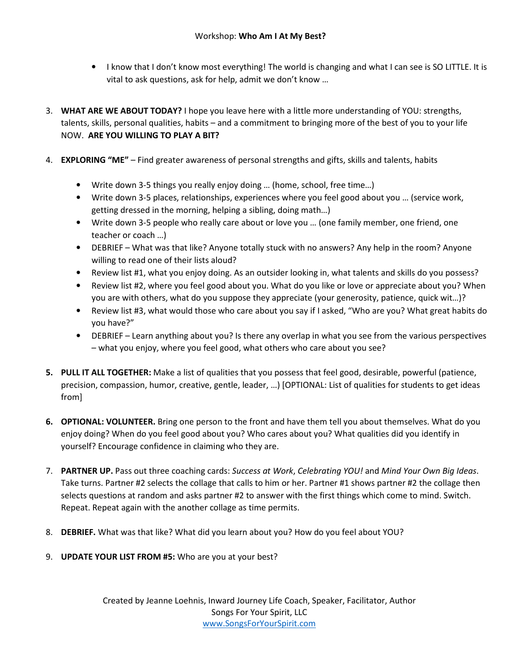- I know that I don't know most everything! The world is changing and what I can see is SO LITTLE. It is vital to ask questions, ask for help, admit we don't know …
- 3. **WHAT ARE WE ABOUT TODAY?** I hope you leave here with a little more understanding of YOU: strengths, talents, skills, personal qualities, habits – and a commitment to bringing more of the best of you to your life NOW. **ARE YOU WILLING TO PLAY A BIT?**
- 4. **EXPLORING "ME"**  Find greater awareness of personal strengths and gifts, skills and talents, habits
	- Write down 3-5 things you really enjoy doing … (home, school, free time…)
	- Write down 3-5 places, relationships, experiences where you feel good about you … (service work, getting dressed in the morning, helping a sibling, doing math…)
	- Write down 3-5 people who really care about or love you … (one family member, one friend, one teacher or coach …)
	- DEBRIEF What was that like? Anyone totally stuck with no answers? Any help in the room? Anyone willing to read one of their lists aloud?
	- Review list #1, what you enjoy doing. As an outsider looking in, what talents and skills do you possess?
	- Review list #2, where you feel good about you. What do you like or love or appreciate about you? When you are with others, what do you suppose they appreciate (your generosity, patience, quick wit…)?
	- Review list #3, what would those who care about you say if I asked, "Who are you? What great habits do you have?"
	- DEBRIEF Learn anything about you? Is there any overlap in what you see from the various perspectives – what you enjoy, where you feel good, what others who care about you see?
- **5. PULL IT ALL TOGETHER:** Make a list of qualities that you possess that feel good, desirable, powerful (patience, precision, compassion, humor, creative, gentle, leader, …) [OPTIONAL: List of qualities for students to get ideas from]
- **6. OPTIONAL: VOLUNTEER.** Bring one person to the front and have them tell you about themselves. What do you enjoy doing? When do you feel good about you? Who cares about you? What qualities did you identify in yourself? Encourage confidence in claiming who they are.
- 7. **PARTNER UP.** Pass out three coaching cards: *Success at Work*, *Celebrating YOU!* and *Mind Your Own Big Ideas*. Take turns. Partner #2 selects the collage that calls to him or her. Partner #1 shows partner #2 the collage then selects questions at random and asks partner #2 to answer with the first things which come to mind. Switch. Repeat. Repeat again with the another collage as time permits.
- 8. **DEBRIEF.** What was that like? What did you learn about you? How do you feel about YOU?
- 9. **UPDATE YOUR LIST FROM #5:** Who are you at your best?

Created by Jeanne Loehnis, Inward Journey Life Coach, Speaker, Facilitator, Author Songs For Your Spirit, LLC www.SongsForYourSpirit.com